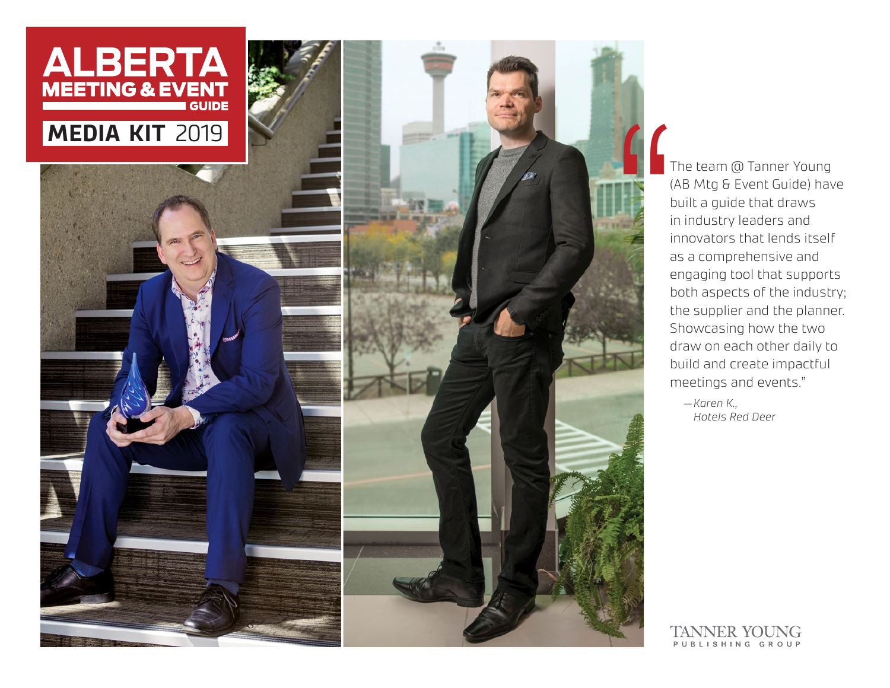

The team @ Tanner Young<br>
(AB Mtg & Event Guide) hav<br>
built a guide that draws<br>
in industry leaders and<br>
innovators that lends itself<br>
as a comprehensive and<br>
engaging tool that support<br>
both aspects of the industr<br>
the sup (AB Mtg & Event Guide) have built a guide that draws in industry leaders and innovators that lends itself as a comprehensive and engaging tool that supports both aspects of the industry; the supplier and the planner. Showcasing how the two draw on each other daily to build and create impactful meetings and events."

*—Karen K., Hotels Red Deer*

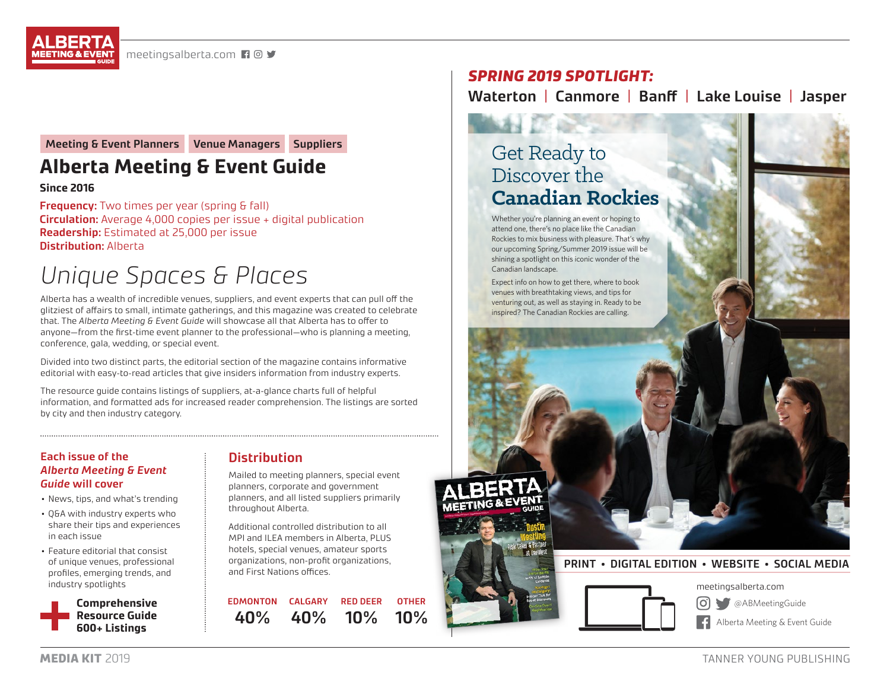**Meeting & Event Planners Venue Managers Suppliers**

# **Alberta Meeting & Event Guide**

#### **Since 2016**

**Frequency:** Two times per year (spring & fall) **Circulation:** Average 4,000 copies per issue + digital publication **Readership:** Estimated at 25,000 per issue **Distribution:** Alberta

# *Unique Spaces & Places*

Alberta has a wealth of incredible venues, suppliers, and event experts that can pull off the glitziest of affairs to small, intimate gatherings, and this magazine was created to celebrate that. The *Alberta Meeting & Event Guide* will showcase all that Alberta has to offer to anyone—from the first-time event planner to the professional—who is planning a meeting, conference, gala, wedding, or special event.

Divided into two distinct parts, the editorial section of the magazine contains informative editorial with easy-to-read articles that give insiders information from industry experts.

The resource guide contains listings of suppliers, at-a-glance charts full of helpful information, and formatted ads for increased reader comprehension. The listings are sorted by city and then industry category.

#### **Each issue of the**  *Alberta Meeting & Event Guide* **will cover**

- News, tips, and what's trending
- Q&A with industry experts who share their tips and experiences in each issue
- Feature editorial that consist of unique venues, professional profiles, emerging trends, and industry spotlights



## **Distribution**

Mailed to meeting planners, special event planners, corporate and government planners, and all listed suppliers primarily throughout Alberta.

Additional controlled distribution to all MPI and ILEA members in Alberta, PLUS hotels, special venues, amateur sports organizations, non-profit organizations, and First Nations offices.

**EDMONTON CALGARY 40% 40% RED DEER 10% OTHER 10%**

# *SPRING 2019 SPOTLIGHT:*

# **Waterton** | **Canmore** | **Banff** | **Lake Louise** | **Jasper**

# Get Ready to Discover the **Canadian Rockies**

Whether you're planning an event or hoping to attend one, there's no place like the Canadian Rockies to mix business with pleasure. That's why our upcoming Spring/Summer 2019 issue will be shining a spotlight on this iconic wonder of the Canadian landscape.

Expect info on how to get there, where to book venues with breathtaking views, and tips for venturing out, as well as staying in. Ready to be inspired? The Canadian Rockies are calling.



# **PRINT • DIGITAL EDITION • WEBSITE • SOCIAL MEDIA**



meetingsalberta.com

[ဝ] @ABMeetingGuide

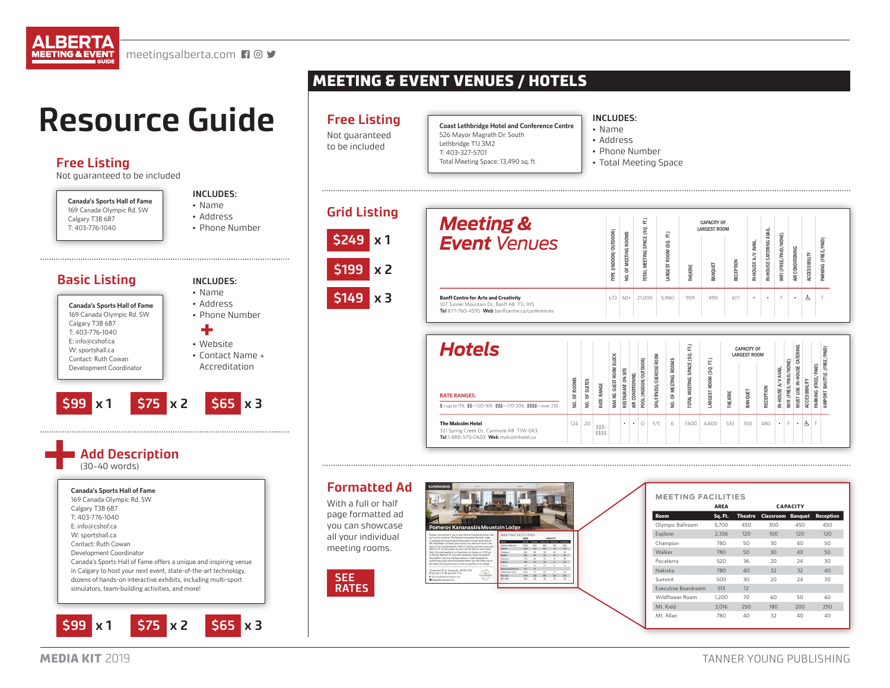

# **Resource Guide**

**Free Listing**

Not guaranteed to be included



W: sportshall.ca Contact: Ruth Cowan Development Coordinator Canada's Sports Hall of Fame offers a unique and inspiring venue in Calgary to host your next event, state-of-the-art technology, dozens of hands-on interactive exhibits, including multi-sport simulators, team-building activities, and more!

# MEETING & EVENT VENUES / HOTELS

# **Free Listing**

Not guaranteed to be included

**Coast Lethbridge Hotel and Conference Centre** 526 Mayor Magrath Dr. South Lethbridge T1J 3M2 T: 403-327-5701 Total Meeting Space: 13,490 sq. ft.

#### **INCLUDES:**

- Name • Address
- Phone Number
- Total Meeting Space

**Grid Listing \$249 x 1 \$199 x 2 \$149 x 3**

| <b>Meeting &amp;</b><br><b>Event Venues</b>                                                                                                 | (INDOOR/OUTDOOR)<br>TYPE | <b>MEETING ROOMS</b><br>NO. OF | Ê<br>SPACE (SQ<br><b>TOTAL MEETING</b> | Ê<br>$\overline{S}$<br>ROOM<br>ARGEST | THEATRE | <b>CAPACITY OF</b><br><b>LARGEST ROOM</b><br>ANQUET | RECEPTION | A/V AVAIL<br>IN-HOUSE | AVAIL.<br>CATERING<br>IN-HOUSE | WIFI (FREE/PAID/NONE) | AIR CONDITIONING | ACCESSIBILITY | PARKING (FREE/PAID) |
|---------------------------------------------------------------------------------------------------------------------------------------------|--------------------------|--------------------------------|----------------------------------------|---------------------------------------|---------|-----------------------------------------------------|-----------|-----------------------|--------------------------------|-----------------------|------------------|---------------|---------------------|
| <b>Banff Centre for Arts and Creativity</b><br>107 Tunnel Mountain Dr., Banff AB T1L 1H5<br>Tel 877-760-4595 Web banffcentre.ca/conferences | 1/O                      | $60+$                          | 21.000                                 | 5.960                                 | 959     | 490                                                 | 617       | ٠                     | ٠                              | F                     | ٠                | é,            |                     |



#### **Formatted Ad**

With a full or half page formatted ad you can showcase all your individual meeting rooms.





|                     | <b>AREA</b> |         |                  | <b>CAPACITY</b> |           |
|---------------------|-------------|---------|------------------|-----------------|-----------|
| <b>Room</b>         | Sq. Ft.     | Theatre | <b>Classroom</b> | <b>Banquet</b>  | Reception |
| Olympic Ballroom    | 5.700       | 450     | 300              | 450             | 450       |
| Explorer            | 2,336       | 120     | 100              | 120             | 120       |
| Champion            | 780         | 50      | 30               | 40              | 50        |
| Walker              | 780         | 50      | 30               | 40              | 50        |
| Pocaterra           | 520         | 36      | 20               | 24              | 30        |
| Nakiska             | 780         | 40      | 32               | 32              | 40        |
| Summit              | 500         | 30      | 20               | 24              | 30        |
| Executive Boardroom | 513         | 12      |                  |                 |           |
| Wildflower Room     | 1,200       | 70      | 60               | 50              | 60        |
| Mt. Kidd            | 3.016       | 250     | 180              | 200             | 250       |
| Mt. Allan           | 780         | 40      | 32               | 40              | 40        |